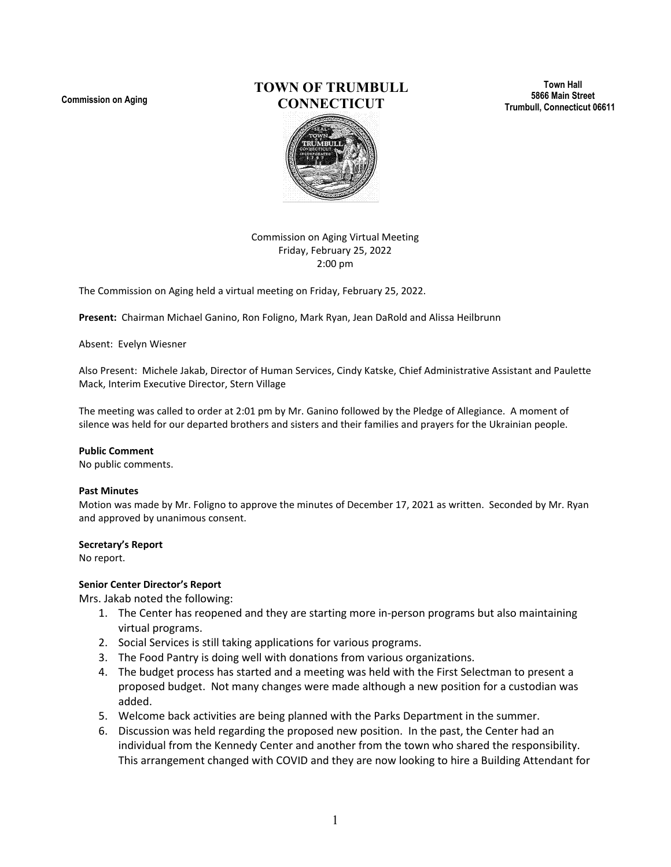**Commission on Aging**

# **TOWN OF TRUMBULL CONNECTICUT**

**Town Hall 5866 Main Street Trumbull, Connecticut 06611**



Commission on Aging Virtual Meeting Friday, February 25, 2022 2:00 pm

The Commission on Aging held a virtual meeting on Friday, February 25, 2022.

**Present:** Chairman Michael Ganino, Ron Foligno, Mark Ryan, Jean DaRold and Alissa Heilbrunn

#### Absent: Evelyn Wiesner

Also Present: Michele Jakab, Director of Human Services, Cindy Katske, Chief Administrative Assistant and Paulette Mack, Interim Executive Director, Stern Village

The meeting was called to order at 2:01 pm by Mr. Ganino followed by the Pledge of Allegiance. A moment of silence was held for our departed brothers and sisters and their families and prayers for the Ukrainian people.

#### **Public Comment**

No public comments.

#### **Past Minutes**

Motion was made by Mr. Foligno to approve the minutes of December 17, 2021 as written. Seconded by Mr. Ryan and approved by unanimous consent.

#### **Secretary's Report**

No report.

#### **Senior Center Director's Report**

Mrs. Jakab noted the following:

- 1. The Center has reopened and they are starting more in-person programs but also maintaining virtual programs.
- 2. Social Services is still taking applications for various programs.
- 3. The Food Pantry is doing well with donations from various organizations.
- 4. The budget process has started and a meeting was held with the First Selectman to present a proposed budget. Not many changes were made although a new position for a custodian was added.
- 5. Welcome back activities are being planned with the Parks Department in the summer.
- 6. Discussion was held regarding the proposed new position. In the past, the Center had an individual from the Kennedy Center and another from the town who shared the responsibility. This arrangement changed with COVID and they are now looking to hire a Building Attendant for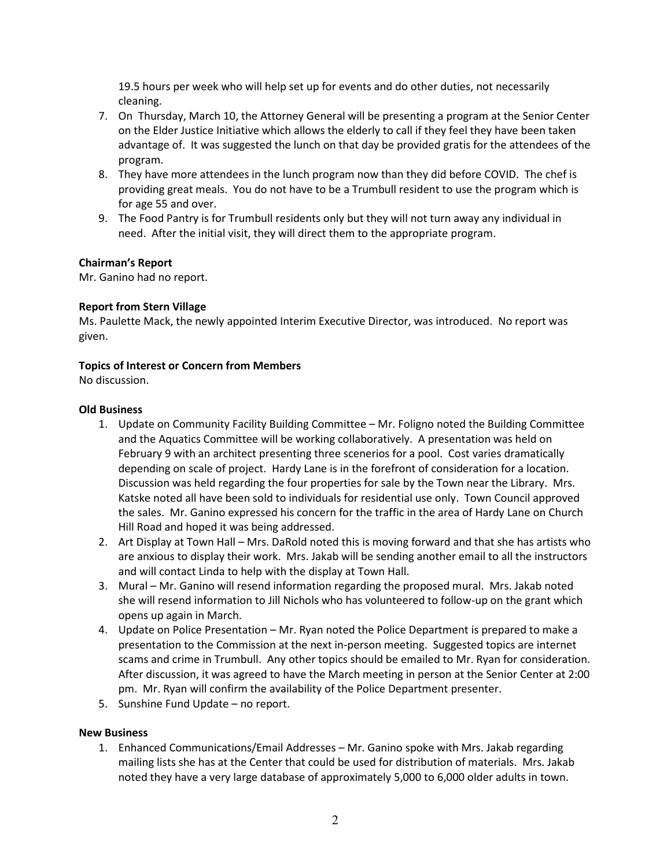19.5 hours per week who will help set up for events and do other duties, not necessarily cleaning.

- 7. On Thursday, March 10, the Attorney General will be presenting a program at the Senior Center on the Elder Justice Initiative which allows the elderly to call if they feel they have been taken advantage of. It was suggested the lunch on that day be provided gratis for the attendees of the program.
- 8. They have more attendees in the lunch program now than they did before COVID. The chef is providing great meals. You do not have to be a Trumbull resident to use the program which is for age 55 and over.
- 9. The Food Pantry is for Trumbull residents only but they will not turn away any individual in need. After the initial visit, they will direct them to the appropriate program.

### **Chairman's Report**

Mr. Ganino had no report.

## **Report from Stern Village**

Ms. Paulette Mack, the newly appointed Interim Executive Director, was introduced. No report was given.

## **Topics of Interest or Concern from Members**

No discussion.

### **Old Business**

- 1. Update on Community Facility Building Committee Mr. Foligno noted the Building Committee and the Aquatics Committee will be working collaboratively. A presentation was held on February 9 with an architect presenting three scenerios for a pool. Cost varies dramatically depending on scale of project. Hardy Lane is in the forefront of consideration for a location. Discussion was held regarding the four properties for sale by the Town near the Library. Mrs. Katske noted all have been sold to individuals for residential use only. Town Council approved the sales. Mr. Ganino expressed his concern for the traffic in the area of Hardy Lane on Church Hill Road and hoped it was being addressed.
- 2. Art Display at Town Hall Mrs. DaRold noted this is moving forward and that she has artists who are anxious to display their work. Mrs. Jakab will be sending another email to all the instructors and will contact Linda to help with the display at Town Hall.
- 3. Mural Mr. Ganino will resend information regarding the proposed mural. Mrs. Jakab noted she will resend information to Jill Nichols who has volunteered to follow-up on the grant which opens up again in March.
- 4. Update on Police Presentation Mr. Ryan noted the Police Department is prepared to make a presentation to the Commission at the next in-person meeting. Suggested topics are internet scams and crime in Trumbull. Any other topics should be emailed to Mr. Ryan for consideration. After discussion, it was agreed to have the March meeting in person at the Senior Center at 2:00 pm. Mr. Ryan will confirm the availability of the Police Department presenter.
- 5. Sunshine Fund Update no report.

### **New Business**

1. Enhanced Communications/Email Addresses – Mr. Ganino spoke with Mrs. Jakab regarding mailing lists she has at the Center that could be used for distribution of materials. Mrs. Jakab noted they have a very large database of approximately 5,000 to 6,000 older adults in town.